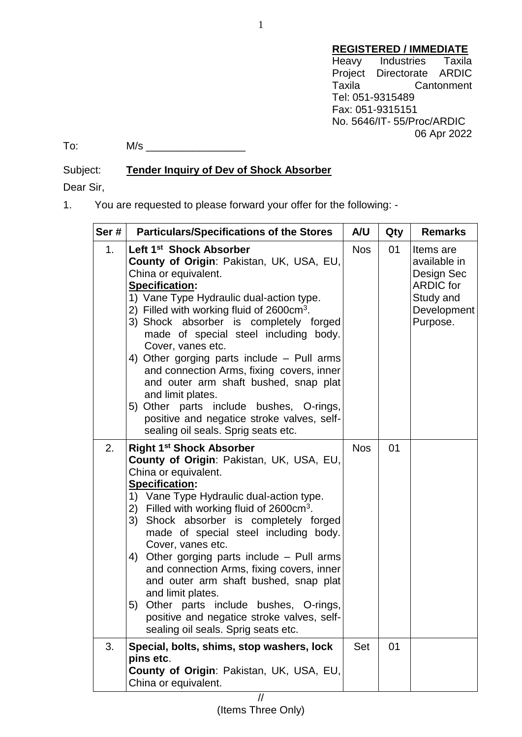## **REGISTERED / IMMEDIATE**

Heavy Industries Taxila Project Directorate ARDIC Taxila Cantonment Tel: 051-9315489 Fax: 051-9315151 No. 5646/IT- 55/Proc/ARDIC 06 Apr 2022

To: M/s \_\_\_\_\_\_\_\_\_\_\_\_\_\_\_\_\_

Subject: **Tender Inquiry of Dev of Shock Absorber**

Dear Sir,

1. You are requested to please forward your offer for the following: -

| Ser# | <b>Particulars/Specifications of the Stores</b>                                                                                                                                                                                                                                                                                                                                                                                                                                                                                                                                                                                                | A/U        | Qty | <b>Remarks</b>                                                                                      |
|------|------------------------------------------------------------------------------------------------------------------------------------------------------------------------------------------------------------------------------------------------------------------------------------------------------------------------------------------------------------------------------------------------------------------------------------------------------------------------------------------------------------------------------------------------------------------------------------------------------------------------------------------------|------------|-----|-----------------------------------------------------------------------------------------------------|
| 1.   | Left 1 <sup>st</sup> Shock Absorber<br><b>County of Origin: Pakistan, UK, USA, EU,</b><br>China or equivalent.<br><b>Specification:</b><br>1) Vane Type Hydraulic dual-action type.<br>2) Filled with working fluid of $2600 \text{cm}^3$ .<br>3) Shock absorber is completely forged<br>made of special steel including body.<br>Cover, vanes etc.<br>4) Other gorging parts include $-$ Pull arms<br>and connection Arms, fixing covers, inner<br>and outer arm shaft bushed, snap plat<br>and limit plates.<br>5) Other parts include bushes, O-rings,<br>positive and negatice stroke valves, self-<br>sealing oil seals. Sprig seats etc. | <b>Nos</b> | 01  | Items are<br>available in<br>Design Sec<br><b>ARDIC for</b><br>Study and<br>Development<br>Purpose. |
| 2.   | <b>Right 1st Shock Absorber</b><br>County of Origin: Pakistan, UK, USA, EU,<br>China or equivalent.<br><b>Specification:</b><br>1) Vane Type Hydraulic dual-action type.<br>2) Filled with working fluid of $2600 \text{cm}^3$ .<br>3)<br>Shock absorber is completely forged<br>made of special steel including body.<br>Cover, vanes etc.<br>4) Other gorging parts include – Pull arms<br>and connection Arms, fixing covers, inner<br>and outer arm shaft bushed, snap plat<br>and limit plates.<br>5) Other parts include bushes, O-rings,<br>positive and negatice stroke valves, self-<br>sealing oil seals. Sprig seats etc.           | <b>Nos</b> | 01  |                                                                                                     |
| 3.   | Special, bolts, shims, stop washers, lock<br>pins etc.<br>County of Origin: Pakistan, UK, USA, EU,<br>China or equivalent.                                                                                                                                                                                                                                                                                                                                                                                                                                                                                                                     | Set        | 01  |                                                                                                     |
|      | //                                                                                                                                                                                                                                                                                                                                                                                                                                                                                                                                                                                                                                             |            |     |                                                                                                     |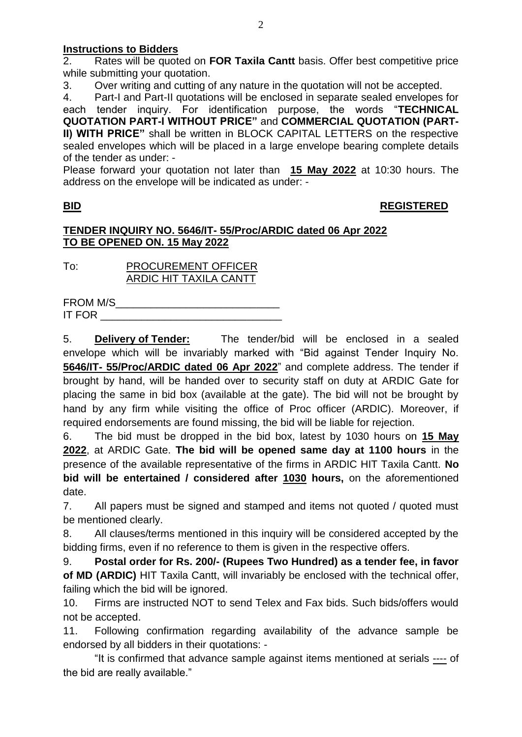### **Instructions to Bidders**

2. Rates will be quoted on **FOR Taxila Cantt** basis. Offer best competitive price while submitting your quotation.

3. Over writing and cutting of any nature in the quotation will not be accepted.

4. Part-I and Part-II quotations will be enclosed in separate sealed envelopes for

each tender inquiry. For identification purpose, the words "**TECHNICAL QUOTATION PART-I WITHOUT PRICE"** and **COMMERCIAL QUOTATION (PART-II) WITH PRICE"** shall be written in BLOCK CAPITAL LETTERS on the respective sealed envelopes which will be placed in a large envelope bearing complete details of the tender as under: -

Please forward your quotation not later than **15 May 2022** at 10:30 hours. The address on the envelope will be indicated as under: -

## **BID REGISTERED**

#### **TENDER INQUIRY NO. 5646/IT- 55/Proc/ARDIC dated 06 Apr 2022 TO BE OPENED ON. 15 May 2022**

To: PROCUREMENT OFFICER ARDIC HIT TAXILA CANTT

| <b>FROM M/S</b> |  |
|-----------------|--|
| <b>IT FOR</b>   |  |

5. **Delivery of Tender:** The tender/bid will be enclosed in a sealed envelope which will be invariably marked with "Bid against Tender Inquiry No. **5646/IT- 55/Proc/ARDIC dated 06 Apr 2022**" and complete address. The tender if brought by hand, will be handed over to security staff on duty at ARDIC Gate for placing the same in bid box (available at the gate). The bid will not be brought by hand by any firm while visiting the office of Proc officer (ARDIC). Moreover, if required endorsements are found missing, the bid will be liable for rejection.

6. The bid must be dropped in the bid box, latest by 1030 hours on **15 May 2022**, at ARDIC Gate. **The bid will be opened same day at 1100 hours** in the presence of the available representative of the firms in ARDIC HIT Taxila Cantt. **No bid will be entertained / considered after 1030 hours,** on the aforementioned date.

7. All papers must be signed and stamped and items not quoted / quoted must be mentioned clearly.

8. All clauses/terms mentioned in this inquiry will be considered accepted by the bidding firms, even if no reference to them is given in the respective offers.

9. **Postal order for Rs. 200/- (Rupees Two Hundred) as a tender fee, in favor of MD (ARDIC)** HIT Taxila Cantt, will invariably be enclosed with the technical offer, failing which the bid will be ignored.

10. Firms are instructed NOT to send Telex and Fax bids. Such bids/offers would not be accepted.

11. Following confirmation regarding availability of the advance sample be endorsed by all bidders in their quotations: -

"It is confirmed that advance sample against items mentioned at serials ---- of the bid are really available."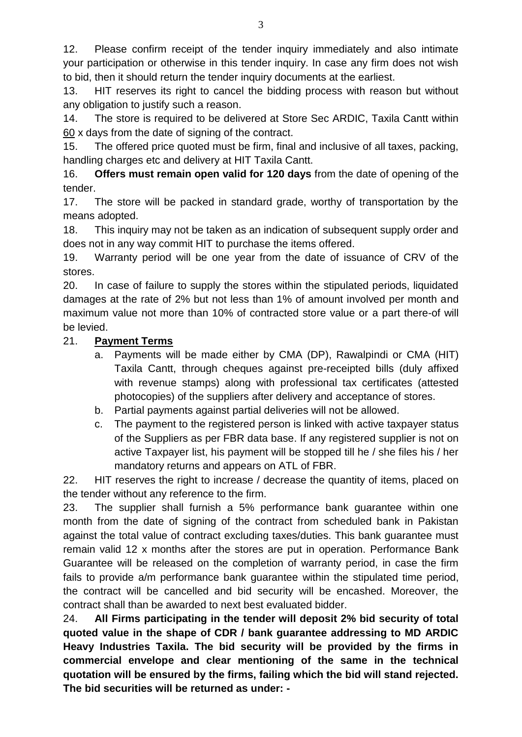12. Please confirm receipt of the tender inquiry immediately and also intimate your participation or otherwise in this tender inquiry. In case any firm does not wish to bid, then it should return the tender inquiry documents at the earliest.

13. HIT reserves its right to cancel the bidding process with reason but without any obligation to justify such a reason.

14. The store is required to be delivered at Store Sec ARDIC, Taxila Cantt within 60 x days from the date of signing of the contract.

15. The offered price quoted must be firm, final and inclusive of all taxes, packing, handling charges etc and delivery at HIT Taxila Cantt.

16. **Offers must remain open valid for 120 days** from the date of opening of the tender.

17. The store will be packed in standard grade, worthy of transportation by the means adopted.

18. This inquiry may not be taken as an indication of subsequent supply order and does not in any way commit HIT to purchase the items offered.

19. Warranty period will be one year from the date of issuance of CRV of the stores.

20. In case of failure to supply the stores within the stipulated periods, liquidated damages at the rate of 2% but not less than 1% of amount involved per month and maximum value not more than 10% of contracted store value or a part there-of will be levied.

# 21. **Payment Terms**

- a. Payments will be made either by CMA (DP), Rawalpindi or CMA (HIT) Taxila Cantt, through cheques against pre-receipted bills (duly affixed with revenue stamps) along with professional tax certificates (attested photocopies) of the suppliers after delivery and acceptance of stores.
- b. Partial payments against partial deliveries will not be allowed.
- c. The payment to the registered person is linked with active taxpayer status of the Suppliers as per FBR data base. If any registered supplier is not on active Taxpayer list, his payment will be stopped till he / she files his / her mandatory returns and appears on ATL of FBR.

22. HIT reserves the right to increase / decrease the quantity of items, placed on the tender without any reference to the firm.

23. The supplier shall furnish a 5% performance bank guarantee within one month from the date of signing of the contract from scheduled bank in Pakistan against the total value of contract excluding taxes/duties. This bank guarantee must remain valid 12 x months after the stores are put in operation. Performance Bank Guarantee will be released on the completion of warranty period, in case the firm fails to provide a/m performance bank guarantee within the stipulated time period, the contract will be cancelled and bid security will be encashed. Moreover, the contract shall than be awarded to next best evaluated bidder.

24. **All Firms participating in the tender will deposit 2% bid security of total quoted value in the shape of CDR / bank guarantee addressing to MD ARDIC Heavy Industries Taxila. The bid security will be provided by the firms in commercial envelope and clear mentioning of the same in the technical quotation will be ensured by the firms, failing which the bid will stand rejected. The bid securities will be returned as under: -**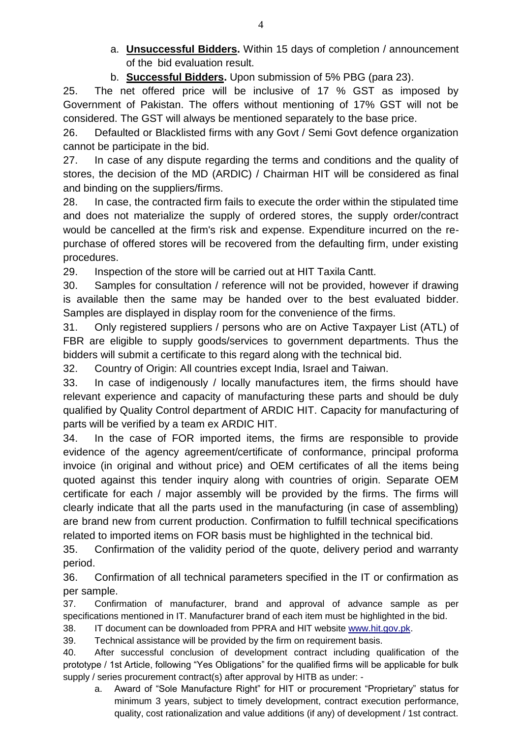- a. **Unsuccessful Bidders.** Within 15 days of completion / announcement of the bid evaluation result.
- b. **Successful Bidders.** Upon submission of 5% PBG (para 23).

25. The net offered price will be inclusive of 17 % GST as imposed by Government of Pakistan. The offers without mentioning of 17% GST will not be considered. The GST will always be mentioned separately to the base price.

26. Defaulted or Blacklisted firms with any Govt / Semi Govt defence organization cannot be participate in the bid.

27. In case of any dispute regarding the terms and conditions and the quality of stores, the decision of the MD (ARDIC) / Chairman HIT will be considered as final and binding on the suppliers/firms.

28. In case, the contracted firm fails to execute the order within the stipulated time and does not materialize the supply of ordered stores, the supply order/contract would be cancelled at the firm's risk and expense. Expenditure incurred on the repurchase of offered stores will be recovered from the defaulting firm, under existing procedures.

29. Inspection of the store will be carried out at HIT Taxila Cantt.

30. Samples for consultation / reference will not be provided, however if drawing is available then the same may be handed over to the best evaluated bidder. Samples are displayed in display room for the convenience of the firms.

31. Only registered suppliers / persons who are on Active Taxpayer List (ATL) of FBR are eligible to supply goods/services to government departments. Thus the bidders will submit a certificate to this regard along with the technical bid.

32. Country of Origin: All countries except India, Israel and Taiwan.

33. In case of indigenously / locally manufactures item, the firms should have relevant experience and capacity of manufacturing these parts and should be duly qualified by Quality Control department of ARDIC HIT. Capacity for manufacturing of parts will be verified by a team ex ARDIC HIT.

34. In the case of FOR imported items, the firms are responsible to provide evidence of the agency agreement/certificate of conformance, principal proforma invoice (in original and without price) and OEM certificates of all the items being quoted against this tender inquiry along with countries of origin. Separate OEM certificate for each / major assembly will be provided by the firms. The firms will clearly indicate that all the parts used in the manufacturing (in case of assembling) are brand new from current production. Confirmation to fulfill technical specifications related to imported items on FOR basis must be highlighted in the technical bid.

35. Confirmation of the validity period of the quote, delivery period and warranty period.

36. Confirmation of all technical parameters specified in the IT or confirmation as per sample.

37. Confirmation of manufacturer, brand and approval of advance sample as per specifications mentioned in IT. Manufacturer brand of each item must be highlighted in the bid.

38. IT document can be downloaded from PPRA and HIT website [www.hit.gov.pk.](http://www.hit.gov.pk/)

39. Technical assistance will be provided by the firm on requirement basis.

40. After successful conclusion of development contract including qualification of the prototype / 1st Article, following "Yes Obligations" for the qualified firms will be applicable for bulk supply / series procurement contract(s) after approval by HITB as under: -

a. Award of "Sole Manufacture Right" for HIT or procurement "Proprietary" status for minimum 3 years, subject to timely development, contract execution performance, quality, cost rationalization and value additions (if any) of development / 1st contract.